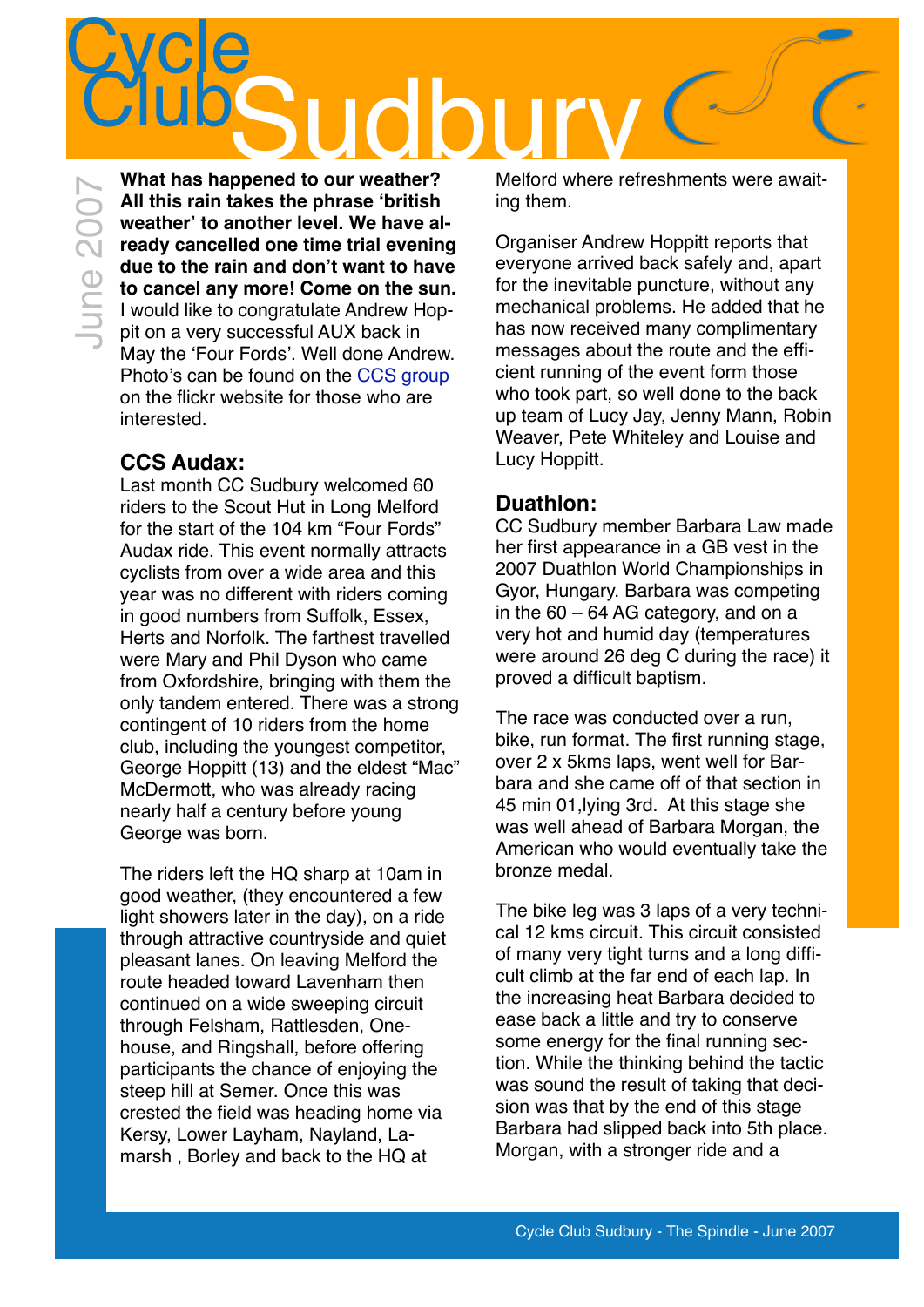**Cycle** Clube Lide Sudbury Nelford where ref **What has happened to our weather?**  Melford where refreshments were await-June 2007June 2007

**All this rain takes the phrase 'british weather' to another level. We have already cancelled one time trial evening due to the rain and don't want to have to cancel any more! Come on the sun.** I would like to congratulate Andrew Hoppit on a very successful AUX back in May the 'Four Fords'. Well done Andrew. Photo's can be found on the [CCS group](http://www.flickr.com/groups/ccsudbury/pool/) on the flickr website for those who are interested.

### **CCS Audax:**

Last month CC Sudbury welcomed 60 riders to the Scout Hut in Long Melford for the start of the 104 km "Four Fords" Audax ride. This event normally attracts cyclists from over a wide area and this year was no different with riders coming in good numbers from Suffolk, Essex, Herts and Norfolk. The farthest travelled were Mary and Phil Dyson who came from Oxfordshire, bringing with them the only tandem entered. There was a strong contingent of 10 riders from the home club, including the youngest competitor, George Hoppitt (13) and the eldest "Mac" McDermott, who was already racing nearly half a century before young George was born.

The riders left the HQ sharp at 10am in good weather, (they encountered a few light showers later in the day), on a ride through attractive countryside and quiet pleasant lanes. On leaving Melford the route headed toward Lavenham then continued on a wide sweeping circuit through Felsham, Rattlesden, Onehouse, and Ringshall, before offering participants the chance of enjoying the steep hill at Semer. Once this was crested the field was heading home via Kersy, Lower Layham, Nayland, Lamarsh , Borley and back to the HQ at

ing them.

Organiser Andrew Hoppitt reports that everyone arrived back safely and, apart for the inevitable puncture, without any mechanical problems. He added that he has now received many complimentary messages about the route and the efficient running of the event form those who took part, so well done to the back up team of Lucy Jay, Jenny Mann, Robin Weaver, Pete Whiteley and Louise and Lucy Hoppitt.

### **Duathlon:**

CC Sudbury member Barbara Law made her first appearance in a GB vest in the 2007 Duathlon World Championships in Gyor, Hungary. Barbara was competing in the 60 – 64 AG category, and on a very hot and humid day (temperatures were around 26 deg C during the race) it proved a difficult baptism.

The race was conducted over a run, bike, run format. The first running stage, over 2 x 5kms laps, went well for Barbara and she came off of that section in 45 min 01,lying 3rd. At this stage she was well ahead of Barbara Morgan, the American who would eventually take the bronze medal.

The bike leg was 3 laps of a very technical 12 kms circuit. This circuit consisted of many very tight turns and a long difficult climb at the far end of each lap. In the increasing heat Barbara decided to ease back a little and try to conserve some energy for the final running section. While the thinking behind the tactic was sound the result of taking that decision was that by the end of this stage Barbara had slipped back into 5th place. Morgan, with a stronger ride and a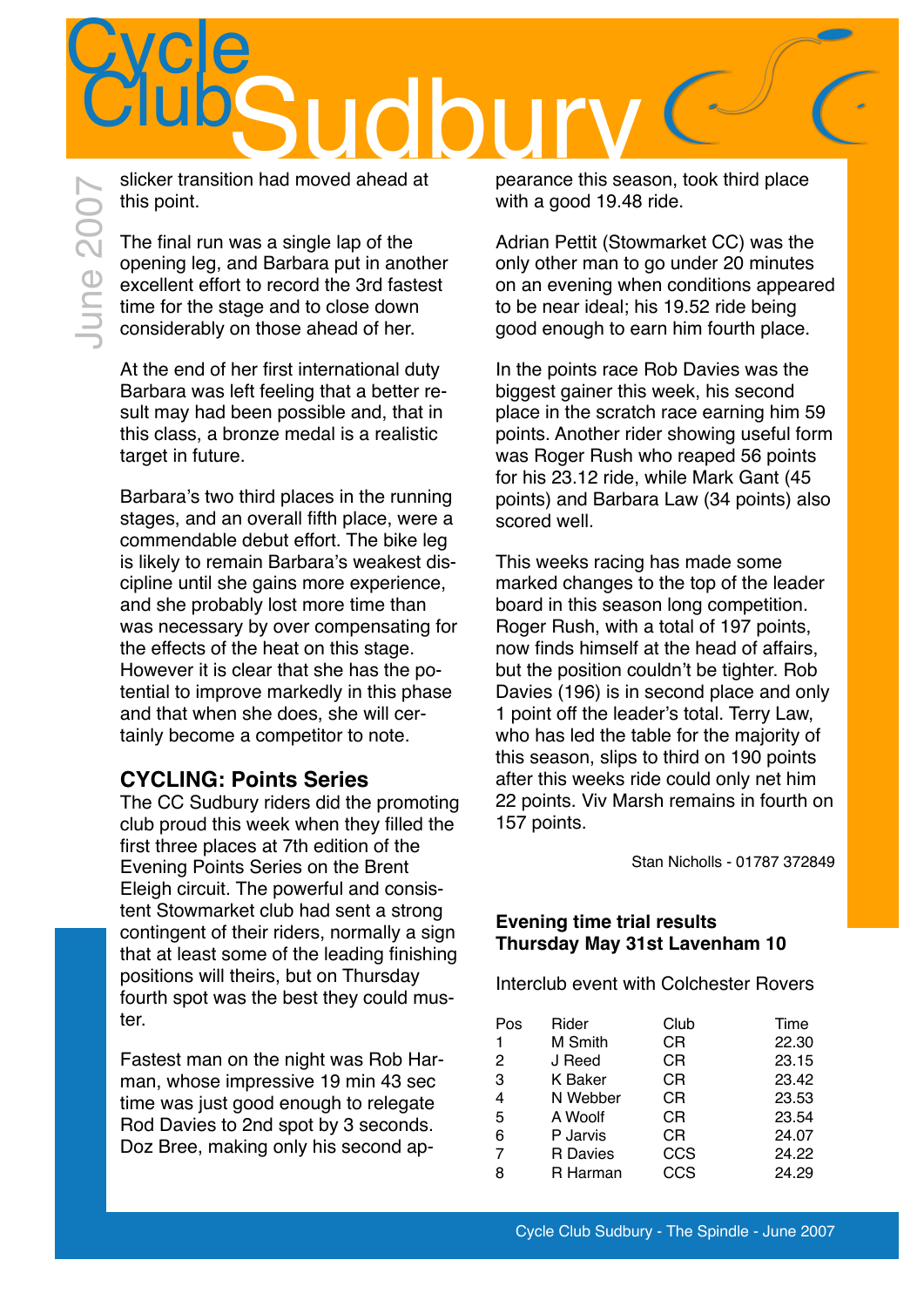

slicker transition had moved ahead at this point.

The final run was a single lap of the opening leg, and Barbara put in another excellent effort to record the 3rd fastest time for the stage and to close down considerably on those ahead of her.

At the end of her first international duty Barbara was left feeling that a better result may had been possible and, that in this class, a bronze medal is a realistic target in future.

Barbara's two third places in the running stages, and an overall fifth place, were a commendable debut effort. The bike leg is likely to remain Barbara's weakest discipline until she gains more experience, and she probably lost more time than was necessary by over compensating for the effects of the heat on this stage. However it is clear that she has the potential to improve markedly in this phase and that when she does, she will certainly become a competitor to note.

### **CYCLING: Points Series**

The CC Sudbury riders did the promoting club proud this week when they filled the first three places at 7th edition of the Evening Points Series on the Brent Eleigh circuit. The powerful and consistent Stowmarket club had sent a strong contingent of their riders, normally a sign that at least some of the leading finishing positions will theirs, but on Thursday fourth spot was the best they could muster.

Fastest man on the night was Rob Harman, whose impressive 19 min 43 sec time was just good enough to relegate Rod Davies to 2nd spot by 3 seconds. Doz Bree, making only his second appearance this season, took third place with a good 19.48 ride.

Adrian Pettit (Stowmarket CC) was the only other man to go under 20 minutes on an evening when conditions appeared to be near ideal; his 19.52 ride being good enough to earn him fourth place.

In the points race Rob Davies was the biggest gainer this week, his second place in the scratch race earning him 59 points. Another rider showing useful form was Roger Rush who reaped 56 points for his 23.12 ride, while Mark Gant (45 points) and Barbara Law (34 points) also scored well.

This weeks racing has made some marked changes to the top of the leader board in this season long competition. Roger Rush, with a total of 197 points, now finds himself at the head of affairs, but the position couldn't be tighter. Rob Davies (196) is in second place and only 1 point off the leader's total. Terry Law, who has led the table for the majority of this season, slips to third on 190 points after this weeks ride could only net him 22 points. Viv Marsh remains in fourth on 157 points.

Stan Nicholls - 01787 372849

#### **Evening time trial results Thursday May 31st Lavenham 10**

Interclub event with Colchester Rovers

| Pos            | Rider           | Club | Time  |
|----------------|-----------------|------|-------|
| $\mathbf{1}$   | M Smith         | СR   | 22.30 |
| 2              | J Reed          | СR   | 23.15 |
| 3              | <b>K</b> Baker  | СR   | 23.42 |
| 4              | N Webber        | СR   | 23.53 |
| 5              | A Woolf         | СR   | 23.54 |
| 6              | P Jarvis        | СR   | 24.07 |
| $\overline{7}$ | <b>R</b> Davies | CCS  | 24.22 |
| 8              | R Harman        | CCS  | 24.29 |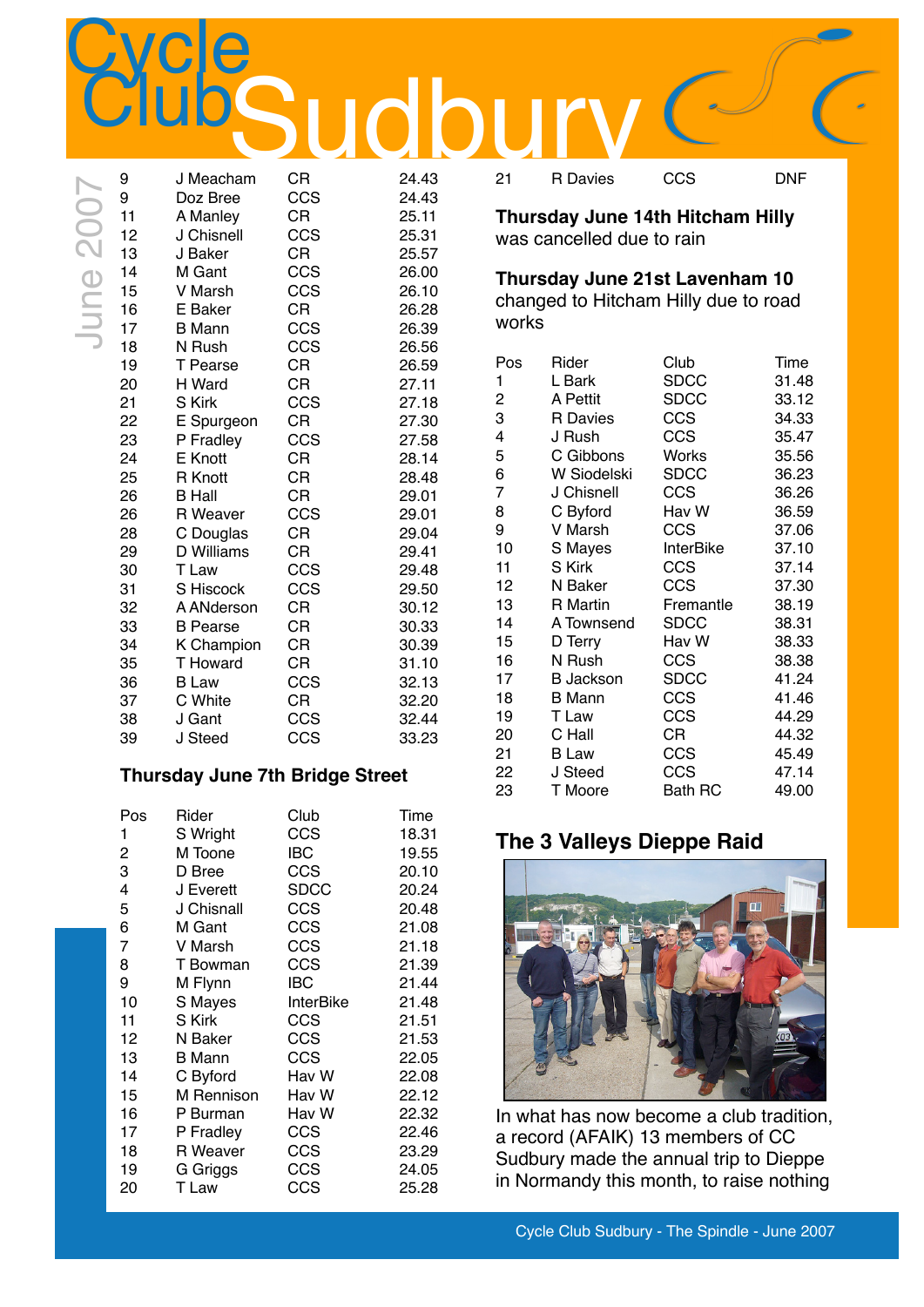|  |  | Cycle Club Sudbury - The Spindle - June 2007 |
|--|--|----------------------------------------------|

| 9        | J Meacham               | <b>CR</b>  | 24.43          | 21             | <b>R</b> Davies        |
|----------|-------------------------|------------|----------------|----------------|------------------------|
| 9        | Doz Bree                | CCS        | 24.43          |                |                        |
| 11       | A Manley                | <b>CR</b>  | 25.11          |                | <b>Thursday June 1</b> |
| 12       | J Chisnell              | CCS        | 25.31          |                | was cancelled due      |
| 13       | J Baker                 | <b>CR</b>  | 25.57          |                |                        |
| 14       | M Gant                  | CCS        | 26.00          |                | <b>Thursday June 2</b> |
| 15       | V Marsh                 | CCS        | 26.10          |                | changed to Hitcha      |
| 16       | E Baker                 | <b>CR</b>  | 26.28          | works          |                        |
| 17<br>18 | <b>B</b> Mann<br>N Rush | CCS<br>CCS | 26.39<br>26.56 |                |                        |
| 19       | T Pearse                | <b>CR</b>  | 26.59          | Pos            | Rider                  |
| 20       | H Ward                  | <b>CR</b>  | 27.11          | $\mathbf{1}$   | L Bark                 |
| 21       | S Kirk                  | CCS        | 27.18          | 2              | A Pettit               |
| 22       | E Spurgeon              | <b>CR</b>  | 27.30          | 3              | <b>R</b> Davies        |
| 23       | P Fradley               | CCS        | 27.58          | 4              | J Rush                 |
| 24       | <b>E</b> Knott          | <b>CR</b>  | 28.14          | 5              | C Gibbons              |
| 25       | R Knott                 | CR         | 28.48          | 6              | W Siodelski            |
| 26       | <b>B</b> Hall           | <b>CR</b>  | 29.01          | $\overline{7}$ | J Chisnell             |
| 26       | R Weaver                | CCS        | 29.01          | 8              | C Byford               |
| 28       | C Douglas               | <b>CR</b>  | 29.04          | 9              | V Marsh                |
| 29       | D Williams              | <b>CR</b>  | 29.41          | 10             | S Mayes                |
| 30       | T Law                   | CCS        | 29.48          | 11             | S Kirk                 |
| 31       | S Hiscock               | CCS        | 29.50          | 12             | N Baker                |
| 32       | A ANderson              | <b>CR</b>  | 30.12          | 13             | R Martin               |
| 33       | <b>B</b> Pearse         | <b>CR</b>  | 30.33          | 14             | A Townsend             |
| 34       | K Champion              | <b>CR</b>  | 30.39          | 15             | D Terry                |
| 35       | <b>T</b> Howard         | <b>CR</b>  | 31.10          | 16             | N Rush                 |
| 36       | <b>B</b> Law            | CCS        | 32.13          | 17             | <b>B</b> Jackson       |
| 37       | C White                 | CR         | 32.20          | 18             | <b>B</b> Mann          |

### **Thursday June 7th Bridge Street**

 J Gant CCS 32.44 J Steed CCS 33.23

| Pos<br>1 | Rider<br>S Wright | Club<br>CCS      | Time<br>18.31 |
|----------|-------------------|------------------|---------------|
| 2        | M Toone           | <b>IBC</b>       | 19.55         |
| 3        | D Bree            | CCS              | 20.10         |
| 4        | J Everett         | <b>SDCC</b>      | 20.24         |
| 5        | J Chisnall        | CCS              | 20.48         |
| 6        | M Gant            | CCS              | 21.08         |
| 7        | V Marsh           | CCS              | 21.18         |
| 8        | T Bowman          | CCS              | 21.39         |
| 9        | M Flynn           | IBC              | 21.44         |
| 10       | S Mayes           | <b>InterBike</b> | 21.48         |
| 11       | S Kirk            | CCS              | 21.51         |
| 12       | N Baker           | CCS              | 21.53         |
| 13       | <b>B</b> Mann     | CCS              | 22.05         |
| 14       | C Byford          | Hav W            | 22.08         |
| 15       | M Rennison        | Hav W            | 22.12         |
| 16       | P Burman          | Hav W            | 22.32         |
| 17       | P Fradley         | CCS              | 22.46         |
| 18       | <b>R</b> Weaver   | CCS              | 23.29         |
| 19       | G Griggs          | CCS              | 24.05         |
| 20       | T Law             | CCS              | 25.28         |

R Davies CCS DNF

**Thursday June 14th Hitcham Hilly** was cancelled due to rain

### **Thursday June 21st Lavenham 10**

changed to Hitcham Hilly due to road works

| Rider            | Club           | Time  |
|------------------|----------------|-------|
| L Bark           | <b>SDCC</b>    | 31.48 |
| A Pettit         | <b>SDCC</b>    | 33.12 |
| R Davies         | <b>CCS</b>     | 34.33 |
| J Rush           | CCS            | 35.47 |
| C Gibbons        | <b>Works</b>   | 35.56 |
| W Siodelski      | <b>SDCC</b>    | 36.23 |
| J Chisnell       | <b>CCS</b>     | 36.26 |
| C Byford         | Hav W          | 36.59 |
| V Marsh          | CCS            | 37.06 |
| S Mayes          | InterBike      | 37.10 |
| S Kirk           | CCS            | 37.14 |
| N Baker          | CCS            | 37.30 |
| R Martin         | Fremantle      | 38.19 |
| A Townsend       | <b>SDCC</b>    | 38.31 |
| D Terry          | Hav W          | 38.33 |
| N Rush           | CCS            | 38.38 |
| <b>B</b> Jackson | <b>SDCC</b>    | 41.24 |
| <b>B</b> Mann    | CCS            | 41.46 |
| T Law            | CCS            | 44.29 |
| C Hall           | СR             | 44.32 |
| <b>B</b> Law     | CCS            | 45.49 |
| J Steed          | CCS            | 47.14 |
| T Moore          | <b>Bath RC</b> | 49.00 |
|                  |                |       |

### **The 3 Valleys Dieppe Raid**



In what has now become a club tradition, a record (AFAIK) 13 members of CC Sudbury made the annual trip to Dieppe in Normandy this month, to raise nothing

**Cycle**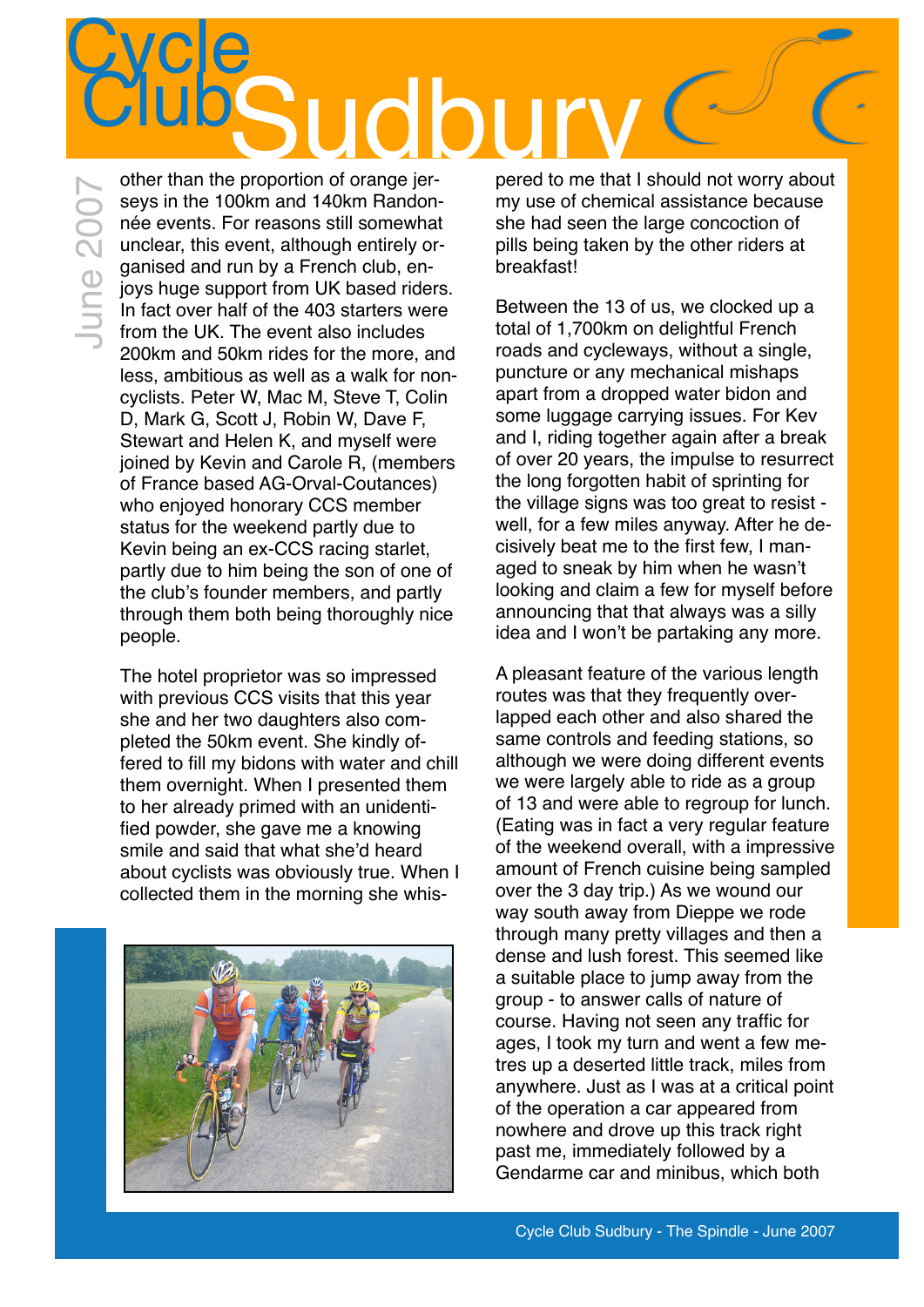### **Cycle** Sudbury Club other than the proportion of orange jer-

June 2007June 2007

seys in the 100km and 140km Randonnée events. For reasons still somewhat unclear, this event, although entirely organised and run by a French club, enjoys huge support from UK based riders. In fact over half of the 403 starters were from the UK. The event also includes 200km and 50km rides for the more, and less, ambitious as well as a walk for noncyclists. Peter W, Mac M, Steve T, Colin D, Mark G, Scott J, Robin W, Dave F, Stewart and Helen K, and myself were joined by Kevin and Carole R, (members of France based AG-Orval-Coutances) who enjoyed honorary CCS member status for the weekend partly due to Kevin being an ex-CCS racing starlet, partly due to him being the son of one of the club's founder members, and partly through them both being thoroughly nice people.

The hotel proprietor was so impressed with previous CCS visits that this year she and her two daughters also completed the 50km event. She kindly offered to fill my bidons with water and chill them overnight. When I presented them to her already primed with an unidentified powder, she gave me a knowing smile and said that what she'd heard about cyclists was obviously true. When I collected them in the morning she whis-



pered to me that I should not worry about my use of chemical assistance because she had seen the large concoction of pills being taken by the other riders at breakfast!

Between the 13 of us, we clocked up a total of 1,700km on delightful French roads and cycleways, without a single, puncture or any mechanical mishaps apart from a dropped water bidon and some luggage carrying issues. For Kev and I, riding together again after a break of over 20 years, the impulse to resurrect the long forgotten habit of sprinting for the village signs was too great to resist well, for a few miles anyway. After he decisively beat me to the first few, I managed to sneak by him when he wasn't looking and claim a few for myself before announcing that that always was a silly idea and I won't be partaking any more.

A pleasant feature of the various length routes was that they frequently overlapped each other and also shared the same controls and feeding stations, so although we were doing different events we were largely able to ride as a group of 13 and were able to regroup for lunch. (Eating was in fact a very regular feature of the weekend overall, with a impressive amount of French cuisine being sampled over the 3 day trip.) As we wound our way south away from Dieppe we rode through many pretty villages and then a dense and lush forest. This seemed like a suitable place to jump away from the group - to answer calls of nature of course. Having not seen any traffic for ages, I took my turn and went a few metres up a deserted little track, miles from anywhere. Just as I was at a critical point of the operation a car appeared from nowhere and drove up this track right past me, immediately followed by a Gendarme car and minibus, which both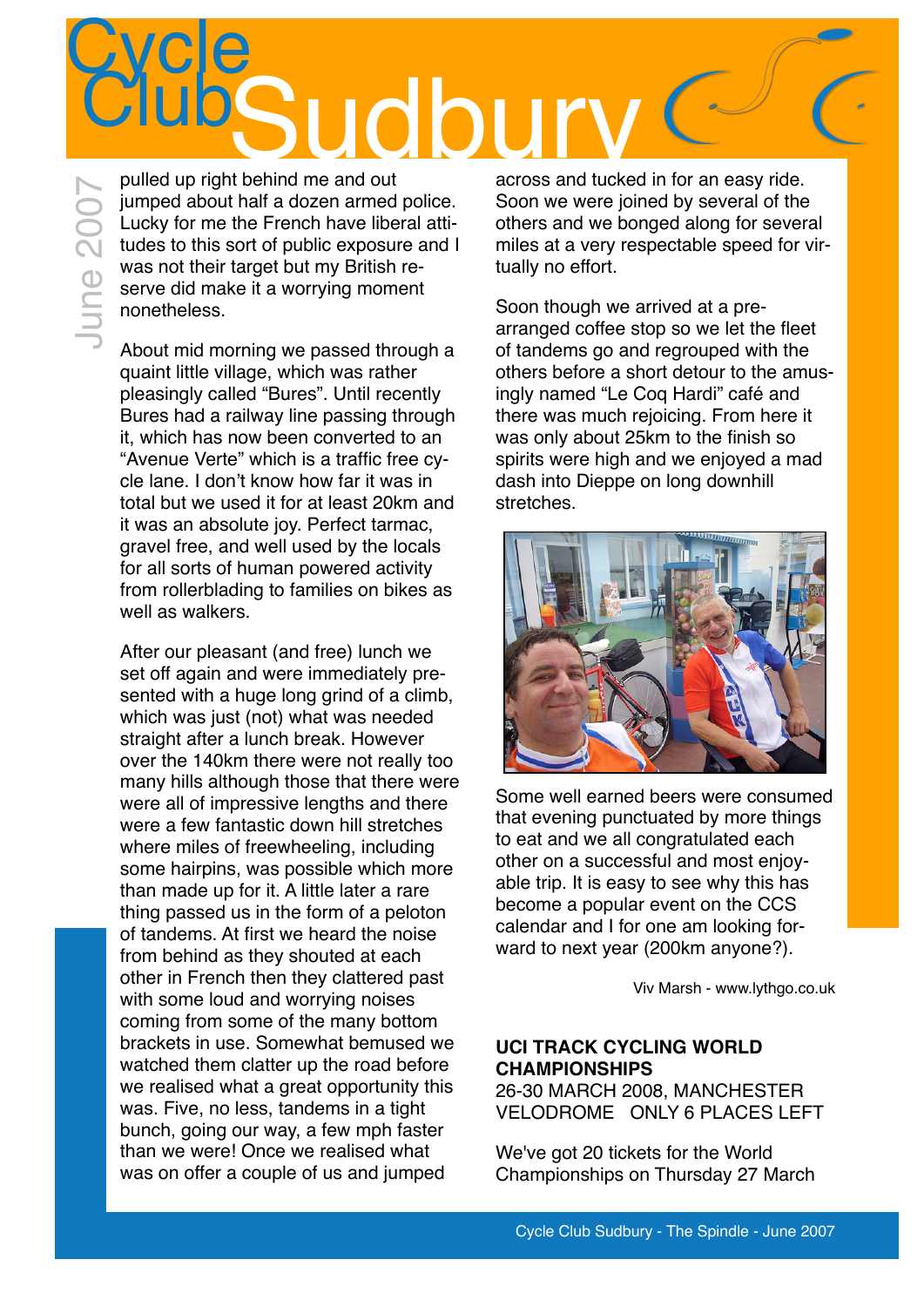# **Cycle udb** June 2007

pulled up right behind me and out jumped about half a dozen armed police.<br>
Lucky for me the French have liberal attitudes to this sort of public exposure and I<br>
was not their target but my British reserve did make it a worrying moment<br>
monetheless. Lucky for me the French have liberal attitudes to this sort of public exposure and I was not their target but my British reserve did make it a worrying moment nonetheless.

About mid morning we passed through a quaint little village, which was rather pleasingly called "Bures". Until recently Bures had a railway line passing through it, which has now been converted to an "Avenue Verte" which is a traffic free cycle lane. I don't know how far it was in total but we used it for at least 20km and it was an absolute joy. Perfect tarmac, gravel free, and well used by the locals for all sorts of human powered activity from rollerblading to families on bikes as well as walkers.

After our pleasant (and free) lunch we set off again and were immediately presented with a huge long grind of a climb, which was just (not) what was needed straight after a lunch break. However over the 140km there were not really too many hills although those that there were were all of impressive lengths and there were a few fantastic down hill stretches where miles of freewheeling, including some hairpins, was possible which more than made up for it. A little later a rare thing passed us in the form of a peloton of tandems. At first we heard the noise from behind as they shouted at each other in French then they clattered past with some loud and worrying noises coming from some of the many bottom brackets in use. Somewhat bemused we watched them clatter up the road before we realised what a great opportunity this was. Five, no less, tandems in a tight bunch, going our way, a few mph faster than we were! Once we realised what was on offer a couple of us and jumped

across and tucked in for an easy ride. Soon we were joined by several of the others and we bonged along for several miles at a very respectable speed for virtually no effort.

Soon though we arrived at a prearranged coffee stop so we let the fleet of tandems go and regrouped with the others before a short detour to the amusingly named "Le Coq Hardi" café and there was much rejoicing. From here it was only about 25km to the finish so spirits were high and we enjoyed a mad dash into Dieppe on long downhill stretches.



Some well earned beers were consumed that evening punctuated by more things to eat and we all congratulated each other on a successful and most enjoyable trip. It is easy to see why this has become a popular event on the CCS calendar and I for one am looking forward to next year (200km anyone?).

Viv Marsh - www.lythgo.co.uk

### **UCI TRACK CYCLING WORLD CHAMPIONSHIPS**

26-30 MARCH 2008, MANCHESTER VELODROME ONLY 6 PLACES LEFT

We've got 20 tickets for the World Championships on Thursday 27 March